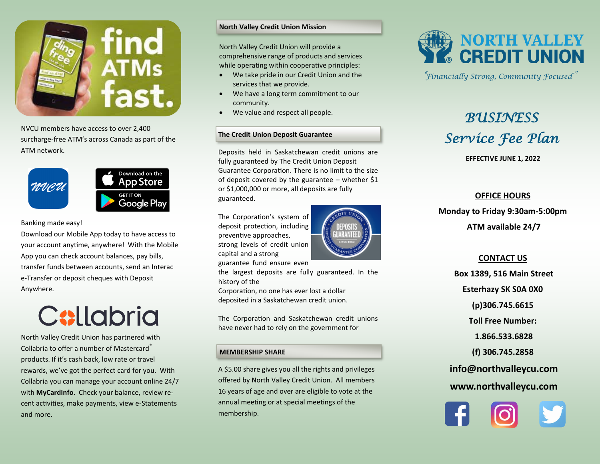

NVCU members have access to over 2,400 surcharge-free ATM's across Canada as part of the ATM network.



#### Banking made easy!

Download our Mobile App today to have access to your account anytime, anywhere! With the Mobile App you can check account balances, pay bills, transfer funds between accounts, send an Interac e-Transfer or deposit cheques with Deposit Anywhere.

# **C:llabria**

North Valley Credit Union has partnered with Collabria to offer a number of Mastercard® products. If it's cash back, low rate or travel rewards, we've got the perfect card for you. With Collabria you can manage your account online 24/7 with **MyCardInfo**. Check your balance, review recent activities, make payments, view e-Statements and more.

#### **North Valley Credit Union Mission**

North Valley Credit Union will provide a comprehensive range of products and services while operating within cooperative principles:

- We take pride in our Credit Union and the services that we provide.
- We have a long term commitment to our community.
- We value and respect all people.

### **The Credit Union Deposit Guarantee**

Deposits held in Saskatchewan credit unions are fully guaranteed by The Credit Union Deposit Guarantee Corporation. There is no limit to the size of deposit covered by the guarantee – whether  $$1$ or \$1,000,000 or more, all deposits are fully guaranteed.

The Corporation's system of deposit protection, including preventive approaches, strong levels of credit union capital and a strong guarantee fund ensure even



the largest deposits are fully guaranteed. In the history of the

Corporation, no one has ever lost a dollar deposited in a Saskatchewan credit union.

The Corporation and Saskatchewan credit unions have never had to rely on the government for

#### **MEMBERSHIP SHARE**

A \$5.00 share gives you all the rights and privileges offered by North Valley Credit Union. All members 16 years of age and over are eligible to vote at the annual meeting or at special meetings of the membership.



"*Financially Strong, Community Focused*"

## *BUSINESS Service Fee Plan*

**EFFECTIVE JUNE 1, 2022**

### **OFFICE HOURS**

**Monday to Friday 9:30am-5:00pm ATM available 24/7**

#### **CONTACT US**

**Box 1389, 516 Main Street Esterhazy SK S0A 0X0 (p)306.745.6615 Toll Free Number: 1.866.533.6828 (f) 306.745.2858 info@northvalleycu.com www.northvalleycu.com**